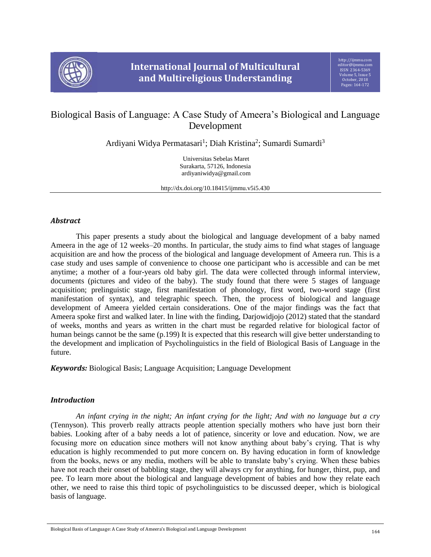

# Biological Basis of Language: A Case Study of Ameera's Biological and Language Development

Ardiyani Widya Permatasari<sup>1</sup>; Diah Kristina<sup>2</sup>; Sumardi Sumardi<sup>3</sup>

Universitas Sebelas Maret Surakarta, 57126, Indonesia ardiyaniwidya@gmail.com

http://dx.doi.org/10.18415/ijmmu.v5i5.430

## *Abstract*

This paper presents a study about the biological and language development of a baby named Ameera in the age of 12 weeks–20 months. In particular, the study aims to find what stages of language acquisition are and how the process of the biological and language development of Ameera run. This is a case study and uses sample of convenience to choose one participant who is accessible and can be met anytime; a mother of a four-years old baby girl. The data were collected through informal interview, documents (pictures and video of the baby). The study found that there were 5 stages of language acquisition; prelinguistic stage, first manifestation of phonology, first word, two-word stage (first manifestation of syntax), and telegraphic speech. Then, the process of biological and language development of Ameera yielded certain considerations. One of the major findings was the fact that Ameera spoke first and walked later. In line with the finding, Darjowidjojo (2012) stated that the standard of weeks, months and years as written in the chart must be regarded relative for biological factor of human beings cannot be the same (p.199) It is expected that this research will give better understanding to the development and implication of Psycholinguistics in the field of Biological Basis of Language in the future.

*Keywords:* Biological Basis; Language Acquisition; Language Development

## *Introduction*

*An infant crying in the night; An infant crying for the light; And with no language but a cry* (Tennyson). This proverb really attracts people attention specially mothers who have just born their babies. Looking after of a baby needs a lot of patience, sincerity or love and education. Now, we are focusing more on education since mothers will not know anything about baby's crying. That is why education is highly recommended to put more concern on. By having education in form of knowledge from the books, news or any media, mothers will be able to translate baby's crying. When these babies have not reach their onset of babbling stage, they will always cry for anything, for hunger, thirst, pup, and pee. To learn more about the biological and language development of babies and how they relate each other, we need to raise this third topic of psycholinguistics to be discussed deeper, which is biological basis of language.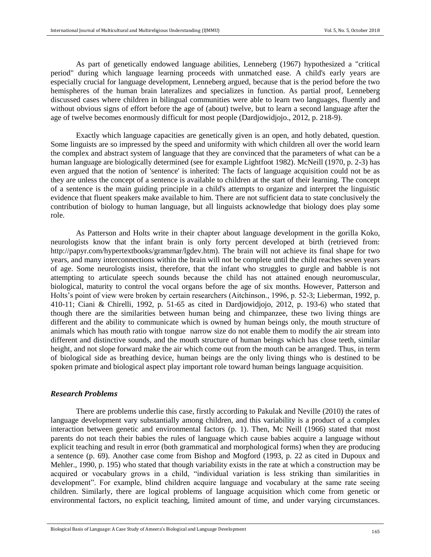As part of genetically endowed language abilities, Lenneberg (1967) hypothesized a "critical period" during which language learning proceeds with unmatched ease. A child's early years are especially crucial for language development, Lenneberg argued, because that is the period before the two hemispheres of the human brain lateralizes and specializes in function. As partial proof, Lenneberg discussed cases where children in bilingual communities were able to learn two languages, fluently and without obvious signs of effort before the age of (about) twelve, but to learn a second language after the age of twelve becomes enormously difficult for most people (Dardjowidjojo., 2012, p. 218-9).

Exactly which language capacities are genetically given is an open, and hotly debated, question. Some linguists are so impressed by the speed and uniformity with which children all over the world learn the complex and abstract system of language that they are convinced that the parameters of what can be a human language are biologically determined (see for example Lightfoot 1982). McNeill (1970, p. 2-3) has even argued that the notion of 'sentence' is inherited: The facts of language acquisition could not be as they are unless the concept of a sentence is available to children at the start of their learning. The concept of a sentence is the main guiding principle in a child's attempts to organize and interpret the linguistic evidence that fluent speakers make available to him. There are not sufficient data to state conclusively the contribution of biology to human language, but all linguists acknowledge that biology does play some role.

As Patterson and Holts write in their chapter about language development in the gorilla Koko, neurologists know that the infant brain is only forty percent developed at birth (retrieved from: [http://papyr.com/hypertextbooks/](http://papyr.com/hypertextbooks)grammar/lgdev.htm). The brain will not achieve its final shape for two years, and many interconnections within the brain will not be complete until the child reaches seven years of age. Some neurologists insist, therefore, that the infant who struggles to gurgle and babble is not attempting to articulate speech sounds because the child has not attained enough neuromuscular, biological, maturity to control the vocal organs before the age of six months. However, Patterson and Holts's point of view were broken by certain researchers (Aitchinson., 1996, p. 52-3; Lieberman, 1992, p. 410-11; Ciani & Chirelli, 1992, p. 51-65 as cited in Dardjowidjojo, 2012, p. 193-6) who stated that though there are the similarities between human being and chimpanzee, these two living things are different and the ability to communicate which is owned by human beings only, the mouth structure of animals which has mouth ratio with tongue narrow size do not enable them to modify the air stream into different and distinctive sounds, and the mouth structure of human beings which has close teeth, similar height, and not slope forward make the air which come out from the mouth can be arranged. Thus, in term of biological side as breathing device, human beings are the only living things who is destined to be spoken primate and biological aspect play important role toward human beings language acquisition.

#### *Research Problems*

There are problems underlie this case, firstly according to Pakulak and Neville (2010) the rates of language development vary substantially among children, and this variability is a product of a complex interaction between genetic and environmental factors (p. 1). Then, Mc Neill (1966) stated that most parents do not teach their babies the rules of language which cause babies acquire a language without explicit teaching and result in error (both grammatical and morphological forms) when they are producing a sentence (p. 69). Another case come from Bishop and Mogford (1993, p. 22 as cited in Dupoux and Mehler., 1990, p. 195) who stated that though variability exists in the rate at which a construction may be acquired or vocabulary grows in a child, "individual variation is less striking than similarities in development". For example, blind children acquire language and vocabulary at the same rate seeing children. Similarly, there are logical problems of language acquisition which come from genetic or environmental factors, no explicit teaching, limited amount of time, and under varying circumstances.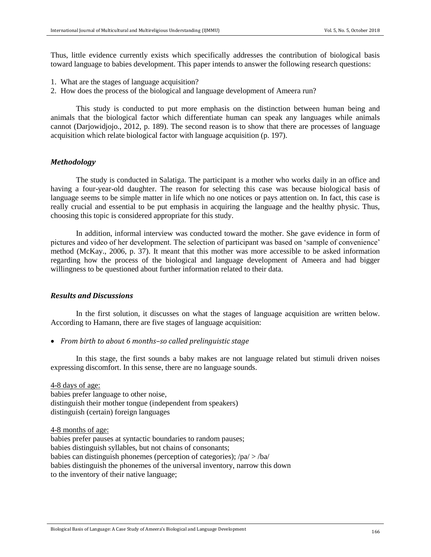Thus, little evidence currently exists which specifically addresses the contribution of biological basis toward language to babies development. This paper intends to answer the following research questions:

- 1. What are the stages of language acquisition?
- 2. How does the process of the biological and language development of Ameera run?

This study is conducted to put more emphasis on the distinction between human being and animals that the biological factor which differentiate human can speak any languages while animals cannot (Darjowidjojo., 2012, p. 189). The second reason is to show that there are processes of language acquisition which relate biological factor with language acquisition (p. 197).

## *Methodology*

The study is conducted in Salatiga. The participant is a mother who works daily in an office and having a four-year-old daughter. The reason for selecting this case was because biological basis of language seems to be simple matter in life which no one notices or pays attention on. In fact, this case is really crucial and essential to be put emphasis in acquiring the language and the healthy physic. Thus, choosing this topic is considered appropriate for this study.

In addition, informal interview was conducted toward the mother. She gave evidence in form of pictures and video of her development. The selection of participant was based on 'sample of convenience' method (McKay., 2006, p. 37). It meant that this mother was more accessible to be asked information regarding how the process of the biological and language development of Ameera and had bigger willingness to be questioned about further information related to their data.

#### *Results and Discussions*

In the first solution, it discusses on what the stages of language acquisition are written below. According to Hamann, there are five stages of language acquisition:

• *From birth to about 6 months–so called prelinguistic stage*

In this stage, the first sounds a baby makes are not language related but stimuli driven noises expressing discomfort. In this sense, there are no language sounds.

4-8 days of age:

babies prefer language to other noise, distinguish their mother tongue (independent from speakers) distinguish (certain) foreign languages

4-8 months of age:

babies prefer pauses at syntactic boundaries to random pauses; babies distinguish syllables, but not chains of consonants; babies can distinguish phonemes (perception of categories); /pa/ > /ba/ babies distinguish the phonemes of the universal inventory, narrow this down to the inventory of their native language;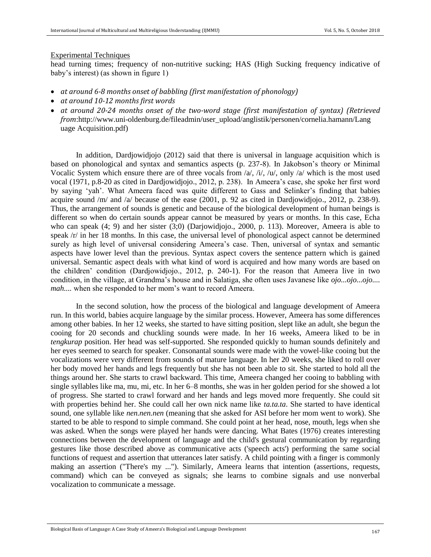#### Experimental Techniques

head turning times; frequency of non-nutritive sucking; HAS (High Sucking frequency indicative of baby's interest) (as shown in figure 1)

- *at around 6-8 months onset of babbling (first manifestation of phonology)*
- *at around 10-12 months first words*
- *at around 20-24 months onset of the two-word stage (first manifestation of syntax) (Retrieved from*[:http://www.uni-oldenburg.de/fileadmin/user\\_upload/anglistik/personen/cornelia.hamann/Lang](http://www.uni-oldenburg.de/fileadmin/user_upload/anglistik/personen/cornelia.hamann/Lang%20uage%20Acquisition.pdf)  [uage Acquisition.pdf\)](http://www.uni-oldenburg.de/fileadmin/user_upload/anglistik/personen/cornelia.hamann/Lang%20uage%20Acquisition.pdf)

In addition, Dardjowidjojo (2012) said that there is universal in language acquisition which is based on phonological and syntax and semantics aspects (p. 237-8). In Jakobson's theory or Minimal Vocalic System which ensure there are of three vocals from /a/, /i/, /u/, only /a/ which is the most used vocal (1971, p.8-20 as cited in Dardjowidjojo., 2012, p. 238). In Ameera's case, she spoke her first word by saying 'yah'. What Ameera faced was quite different to Gass and Selinker's finding that babies acquire sound /m/ and /a/ because of the ease (2001, p. 92 as cited in Dardjowidjojo., 2012, p. 238-9). Thus, the arrangement of sounds is genetic and because of the biological development of human beings is different so when do certain sounds appear cannot be measured by years or months. In this case, Echa who can speak (4; 9) and her sister (3;0) (Darjowidjojo., 2000, p. 113). Moreover, Ameera is able to speak /r/ in her 18 months. In this case, the universal level of phonological aspect cannot be determined surely as high level of universal considering Ameera's case. Then, universal of syntax and semantic aspects have lower level than the previous. Syntax aspect covers the sentence pattern which is gained universal. Semantic aspect deals with what kind of word is acquired and how many words are based on the children' condition (Dardjowidjojo., 2012, p. 240-1). For the reason that Ameera live in two condition, in the village, at Grandma's house and in Salatiga, she often uses Javanese like *ojo...ojo...ojo.... mah....* when she responded to her mom's want to record Ameera.

In the second solution, how the process of the biological and language development of Ameera run. In this world, babies acquire language by the similar process. However, Ameera has some differences among other babies. In her 12 weeks, she started to have sitting position, slept like an adult, she begun the cooing for 20 seconds and chuckling sounds were made. In her 16 weeks, Ameera liked to be in *tengkurap* position. Her head was self-supported. She responded quickly to human sounds definitely and her eyes seemed to search for speaker. Consonantal sounds were made with the vowel-like cooing but the vocalizations were very different from sounds of mature language. In her 20 weeks, she liked to roll over her body moved her hands and legs frequently but she has not been able to sit. She started to hold all the things around her. She starts to crawl backward. This time, Ameera changed her cooing to babbling with single syllables like ma, mu, mi, etc. In her 6–8 months, she was in her golden period for she showed a lot of progress. She started to crawl forward and her hands and legs moved more frequently. She could sit with properties behind her. She could call her own nick name like *ta.ta.ta*. She started to have identical sound, one syllable like *nen.nen.nen* (meaning that she asked for ASI before her mom went to work). She started to be able to respond to simple command. She could point at her head, nose, mouth, legs when she was asked. When the songs were played her hands were dancing. What Bates (1976) creates interesting connections between the development of language and the child's gestural communication by regarding gestures like those described above as communicative acts ('speech acts') performing the same social functions of request and assertion that utterances later satisfy. A child pointing with a finger is commonly making an assertion ("There's my ..."). Similarly, Ameera learns that intention (assertions, requests, command) which can be conveyed as signals; she learns to combine signals and use nonverbal vocalization to communicate a message.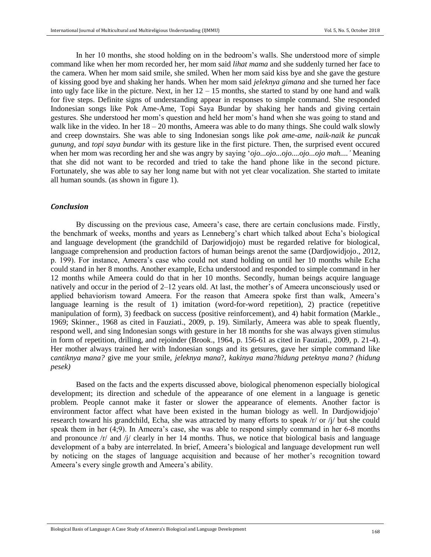In her 10 months, she stood holding on in the bedroom's walls. She understood more of simple command like when her mom recorded her, her mom said *lihat mama* and she suddenly turned her face to the camera. When her mom said smile, she smiled. When her mom said kiss bye and she gave the gesture of kissing good bye and shaking her hands. When her mom said *jeleknya gimana* and she turned her face into ugly face like in the picture. Next, in her  $12 - 15$  months, she started to stand by one hand and walk for five steps. Definite signs of understanding appear in responses to simple command. She responded Indonesian songs like Pok Ame-Ame, Topi Saya Bundar by shaking her hands and giving certain gestures. She understood her mom's question and held her mom's hand when she was going to stand and walk like in the video. In her  $18 - 20$  months, Ameera was able to do many things. She could walk slowly and creep downstairs. She was able to sing Indonesian songs like *pok ame-ame*, *naik-naik ke puncak gunung*, and *topi saya bundar* with its gesture like in the first picture. Then, the surprised event occured when her mom was recording her and she was angry by saying '*ojo...ojo...ojo....ojo...ojo mah....'* Meaning that she did not want to be recorded and tried to take the hand phone like in the second picture. Fortunately, she was able to say her long name but with not yet clear vocalization. She started to imitate all human sounds. (as shown in figure 1).

#### *Conclusion*

By discussing on the previous case, Ameera's case, there are certain conclusions made. Firstly, the benchmark of weeks, months and years as Lenneberg's chart which talked about Echa's biological and language development (the grandchild of Darjowidjojo) must be regarded relative for biological, language comprehension and production factors of human beings arenot the same (Dardjowidjojo., 2012, p. 199). For instance, Ameera's case who could not stand holding on until her 10 months while Echa could stand in her 8 months. Another example, Echa understood and responded to simple command in her 12 months while Ameera could do that in her 10 months. Secondly, human beings acquire language natively and occur in the period of 2–12 years old. At last, the mother's of Ameera unconsciously used or applied behaviorism toward Ameera. For the reason that Ameera spoke first than walk, Ameera's language learning is the result of 1) imitation (word-for-word repetition), 2) practice (repetitive manipulation of form), 3) feedback on success (positive reinforcement), and 4) habit formation (Markle., 1969; Skinner., 1968 as cited in Fauziati., 2009, p. 19). Similarly, Ameera was able to speak fluently, respond well, and sing Indonesian songs with gesture in her 18 months for she was always given stimulus in form of repetition, drilling, and rejoinder (Brook., 1964, p. 156-61 as cited in Fauziati., 2009, p. 21-4). Her mother always trained her with Indonesian songs and its getsures, gave her simple command like c*antiknya mana?* give me your smile, *jeleknya mana*?, *kakinya mana?hidung peteknya mana? (hidung pesek)*

Based on the facts and the experts discussed above, biological phenomenon especially biological development; its direction and schedule of the appearance of one element in a language is genetic problem. People cannot make it faster or slower the appearance of elements. Another factor is environment factor affect what have been existed in the human biology as well. In Dardjowidjojo' research toward his grandchild, Echa, she was attracted by many efforts to speak /r/ or /j/ but she could speak them in her (4;9). In Ameera's case, she was able to respond simply command in her 6-8 months and pronounce  $/r/$  and  $/1/$  clearly in her 14 months. Thus, we notice that biological basis and language development of a baby are interrelated. In brief, Ameera's biological and language development run well by noticing on the stages of language acquisition and because of her mother's recognition toward Ameera's every single growth and Ameera's ability.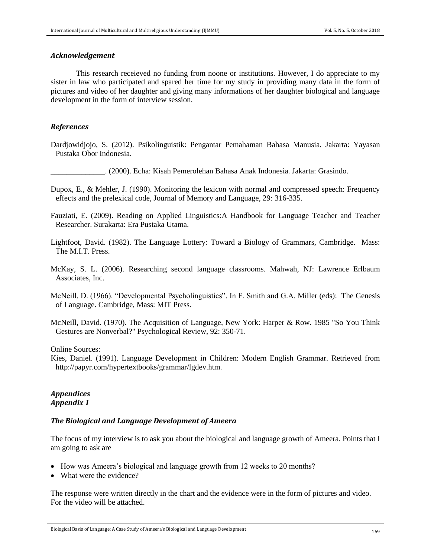#### *Acknowledgement*

This research receieved no funding from noone or institutions. However, I do appreciate to my sister in law who participated and spared her time for my study in providing many data in the form of pictures and video of her daughter and giving many informations of her daughter biological and language development in the form of interview session.

#### *References*

Dardjowidjojo, S. (2012). Psikolinguistik: Pengantar Pemahaman Bahasa Manusia. Jakarta: Yayasan Pustaka Obor Indonesia.

\_\_\_\_\_\_\_\_\_\_\_\_\_\_. (2000). Echa: Kisah Pemerolehan Bahasa Anak Indonesia. Jakarta: Grasindo.

- Dupox, E., & Mehler, J. (1990). Monitoring the lexicon with normal and compressed speech: Frequency effects and the prelexical code, Journal of Memory and Language, 29: 316-335.
- Fauziati, E. (2009). Reading on Applied Linguistics:A Handbook for Language Teacher and Teacher Researcher. Surakarta: Era Pustaka Utama.
- Lightfoot, David. (1982). The Language Lottery: Toward a Biology of Grammars, Cambridge. Mass: The M.I.T. Press.
- McKay, S. L. (2006). Researching second language classrooms. Mahwah, NJ: Lawrence Erlbaum Associates, Inc.
- McNeill, D. (1966). "Developmental Psycholinguistics". In F. Smith and G.A. Miller (eds): The Genesis of Language. Cambridge, Mass: MIT Press.
- McNeill, David. (1970). The Acquisition of Language, New York: Harper & Row. 1985 "So You Think Gestures are Nonverbal?" Psychological Review, 92: 350-71.

Online Sources:

Kies, Daniel. (1991). Language Development in Children: Modern English Grammar. Retrieved from http://papyr.com/hypertextbooks/grammar/lgdev.htm.

## *Appendices Appendix 1*

#### *The Biological and Language Development of Ameera*

The focus of my interview is to ask you about the biological and language growth of Ameera. Points that I am going to ask are

- How was Ameera's biological and language growth from 12 weeks to 20 months?
- What were the evidence?

The response were written directly in the chart and the evidence were in the form of pictures and video. For the video will be attached.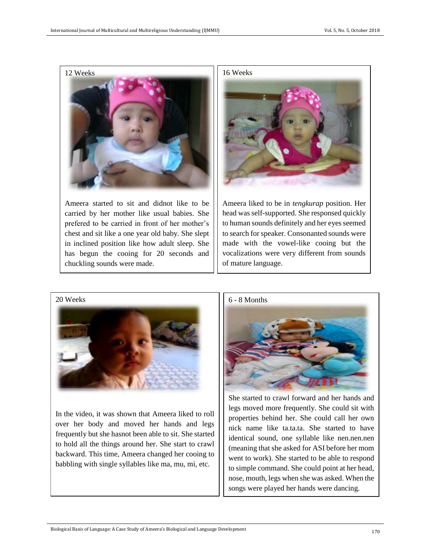

Ameera started to sit and didnot like to be carried by her mother like usual babies. She prefered to be carried in front of her mother's chest and sit like a one year old baby. She slept in inclined position like how adult sleep. She has begun the cooing for 20 seconds and chuckling sounds were made.





Ameera liked to be in *tengkurap* position. Her head was self-supported. She responsed quickly to human sounds definitely and her eyes seemed to search for speaker. Consonanted sounds were made with the vowel-like cooing but the vocalizations were very different from sounds of mature language.

20 Weeks



In the video, it was shown that Ameera liked to roll over her body and moved her hands and legs frequently but she hasnot been able to sit. She started to hold all the things around her. She start to crawl backward. This time, Ameera changed her cooing to babbling with single syllables like ma, mu, mi, etc.



She started to crawl forward and her hands and legs moved more frequently. She could sit with properties behind her. She could call her own nick name like ta.ta.ta. She started to have identical sound, one syllable like nen.nen.nen (meaning that she asked for ASI before her mom went to work). She started to be able to respond to simple command. She could point at her head, nose, mouth, legs when she was asked. When the songs were played her hands were dancing.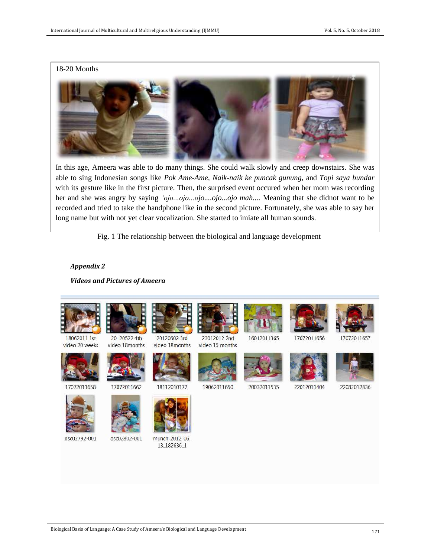## 18-20 Months



In this age, Ameera was able to do many things. She could walk slowly and creep downstairs. She was able to sing Indonesian songs like *Pok Ame-Ame, Naik-naik ke puncak gunung*, and *Topi saya bundar*  with its gesture like in the first picture. Then, the surprised event occured when her mom was recording her and she was angry by saying *'ojo...ojo...ojo....ojo...ojo mah....* Meaning that she didnot want to be recorded and tried to take the handphone like in the second picture. Fortunately, she was able to say her long name but with not yet clear vocalization. She started to imiate all human sounds.

Fig. 1 The relationship between the biological and language development

#### *Appendix 2*

*Videos and Pictures of Ameera*